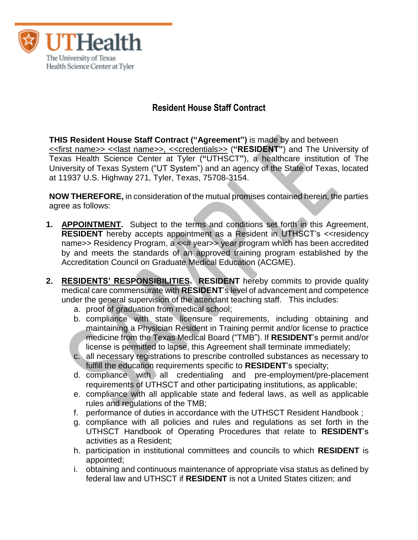

# **Resident House Staff Contract**

**THIS Resident House Staff Contract ("Agreement")** is made by and between <<first name>> <<last name>>, <<credentials>> (**"RESIDENT"**) and The University of Texas Health Science Center at Tyler (**"**UTHSCT**"**), a healthcare institution of The University of Texas System ("UT System") and an agency of the State of Texas, located at 11937 U.S. Highway 271, Tyler, Texas, 75708-3154.

**NOW THEREFORE,** in consideration of the mutual promises contained herein, the parties agree as follows:

- **1. APPOINTMENT.** Subject to the terms and conditions set forth in this Agreement, **RESIDENT** hereby accepts appointment as a Resident in UTHSCT's << residency name>> Residency Program, a <<# year>> year program which has been accredited by and meets the standards of an approved training program established by the Accreditation Council on Graduate Medical Education (ACGME).
- **2. RESIDENTS' RESPONSIBILITIES. RESIDENT** hereby commits to provide quality medical care commensurate with **RESIDENT**'s level of advancement and competence under the general supervision of the attendant teaching staff. This includes:
	- a. proof of graduation from medical school;
	- b. compliance with state licensure requirements, including obtaining and maintaining a Physician Resident in Training permit and/or license to practice medicine from the Texas Medical Board ("TMB"). If **RESIDENT**'s permit and/or license is permitted to lapse, this Agreement shall terminate immediately;
	- c. all necessary registrations to prescribe controlled substances as necessary to fulfill the education requirements specific to **RESIDENT**'s specialty;
	- d. compliance with all credentialing and pre-employment/pre-placement requirements of UTHSCT and other participating institutions, as applicable;
	- e. compliance with all applicable state and federal laws, as well as applicable rules and regulations of the TMB;
	- f. performance of duties in accordance with the UTHSCT Resident Handbook ;
	- g. compliance with all policies and rules and regulations as set forth in the UTHSCT Handbook of Operating Procedures that relate to **RESIDENT**'s activities as a Resident;
	- h. participation in institutional committees and councils to which **RESIDENT** is appointed;
	- i. obtaining and continuous maintenance of appropriate visa status as defined by federal law and UTHSCT if **RESIDENT** is not a United States citizen; and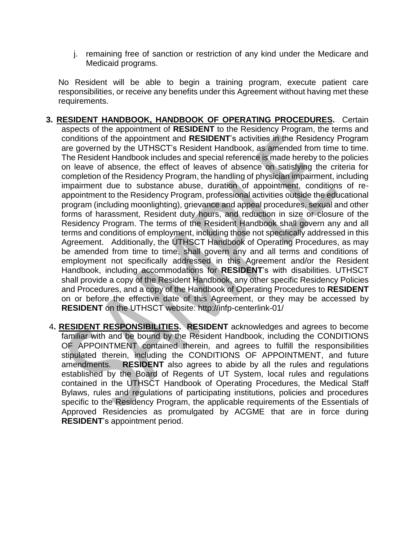j. remaining free of sanction or restriction of any kind under the Medicare and Medicaid programs.

No Resident will be able to begin a training program, execute patient care responsibilities, or receive any benefits under this Agreement without having met these requirements.

- **3. RESIDENT HANDBOOK, HANDBOOK OF OPERATING PROCEDURES.** Certain aspects of the appointment of **RESIDENT** to the Residency Program, the terms and conditions of the appointment and **RESIDENT**'s activities in the Residency Program are governed by the UTHSCT's Resident Handbook, as amended from time to time. The Resident Handbook includes and special reference is made hereby to the policies on leave of absence, the effect of leaves of absence on satisfying the criteria for completion of the Residency Program, the handling of physician impairment, including impairment due to substance abuse, duration of appointment, conditions of reappointment to the Residency Program, professional activities outside the educational program (including moonlighting), grievance and appeal procedures, sexual and other forms of harassment, Resident duty hours, and reduction in size or closure of the Residency Program. The terms of the Resident Handbook shall govern any and all terms and conditions of employment, including those not specifically addressed in this Agreement. Additionally, the UTHSCT Handbook of Operating Procedures, as may be amended from time to time, shall govern any and all terms and conditions of employment not specifically addressed in this Agreement and/or the Resident Handbook, including accommodations for **RESIDENT**'s with disabilities. UTHSCT shall provide a copy of the Resident Handbook, any other specific Residency Policies and Procedures, and a copy of the Handbook of Operating Procedures to **RESIDENT** on or before the effective date of this Agreement, or they may be accessed by **RESIDENT** on the UTHSCT website:<http://infp-centerlink-01/>
- 4**. RESIDENT RESPONSIBILITIES. RESIDENT** acknowledges and agrees to become familiar with and be bound by the Resident Handbook, including the CONDITIONS OF APPOINTMENT contained therein, and agrees to fulfill the responsibilities stipulated therein, including the CONDITIONS OF APPOINTMENT, and future amendments. **RESIDENT** also agrees to abide by all the rules and regulations established by the Board of Regents of UT System, local rules and regulations contained in the UTHSCT Handbook of Operating Procedures, the Medical Staff Bylaws, rules and regulations of participating institutions, policies and procedures specific to the Residency Program, the applicable requirements of the Essentials of Approved Residencies as promulgated by ACGME that are in force during **RESIDENT**'s appointment period.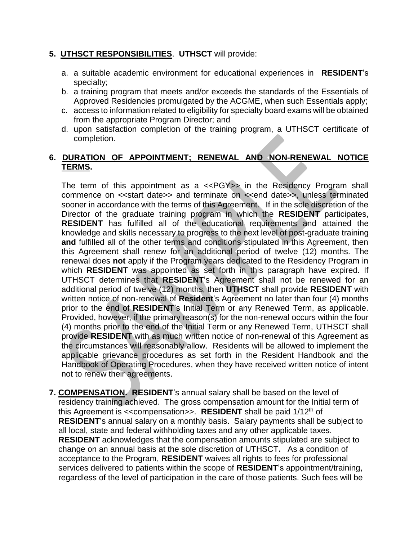### **5. UTHSCT RESPONSIBILITIES**. **UTHSCT** will provide:

- a. a suitable academic environment for educational experiences in **RESIDENT**'s specialty;
- b. a training program that meets and/or exceeds the standards of the Essentials of Approved Residencies promulgated by the ACGME, when such Essentials apply;
- c. access to information related to eligibility for specialty board exams will be obtained from the appropriate Program Director; and
- d. upon satisfaction completion of the training program, a UTHSCT certificate of completion.

### **6. DURATION OF APPOINTMENT; RENEWAL AND NON-RENEWAL NOTICE TERMS.**

The term of this appointment as a <<PGY>> in the Residency Program shall commence on << start date>> and terminate on << end date>>, unless terminated sooner in accordance with the terms of this Agreement. If in the sole discretion of the Director of the graduate training program in which the **RESIDENT** participates, **RESIDENT** has fulfilled all of the educational requirements and attained the knowledge and skills necessary to progress to the next level of post-graduate training **and** fulfilled all of the other terms and conditions stipulated in this Agreement, then this Agreement shall renew for an additional period of twelve (12) months. The renewal does **not** apply if the Program years dedicated to the Residency Program in which **RESIDENT** was appointed as set forth in this paragraph have expired. If UTHSCT determines that **RESIDENT**'s Agreement shall not be renewed for an additional period of twelve (12) months, then **UTHSCT** shall provide **RESIDENT** with written notice of non-renewal of **Resident**'s Agreement no later than four (4) months prior to the end of **RESIDENT**'s Initial Term or any Renewed Term, as applicable. Provided, however, if the primary reason(s) for the non-renewal occurs within the four (4) months prior to the end of the Initial Term or any Renewed Term, UTHSCT shall provide **RESIDENT** with as much written notice of non-renewal of this Agreement as the circumstances will reasonably allow. Residents will be allowed to implement the applicable grievance procedures as set forth in the Resident Handbook and the Handbook of Operating Procedures, when they have received written notice of intent not to renew their agreements.

**7. COMPENSATION. RESIDENT**'s annual salary shall be based on the level of residency training achieved. The gross compensation amount for the Initial term of this Agreement is <<compensation>>. **RESIDENT** shall be paid 1/12th of **RESIDENT**'s annual salary on a monthly basis. Salary payments shall be subject to all local, state and federal withholding taxes and any other applicable taxes. **RESIDENT** acknowledges that the compensation amounts stipulated are subject to change on an annual basis at the sole discretion of UTHSCT**.** As a condition of acceptance to the Program, **RESIDENT** waives all rights to fees for professional services delivered to patients within the scope of **RESIDENT**'s appointment/training, regardless of the level of participation in the care of those patients. Such fees will be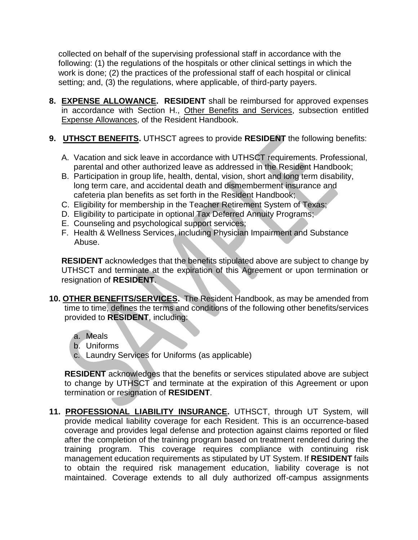collected on behalf of the supervising professional staff in accordance with the following: (1) the regulations of the hospitals or other clinical settings in which the work is done; (2) the practices of the professional staff of each hospital or clinical setting; and, (3) the regulations, where applicable, of third-party payers.

- **8. EXPENSE ALLOWANCE. RESIDENT** shall be reimbursed for approved expenses in accordance with Section H., Other Benefits and Services, subsection entitled Expense Allowances, of the Resident Handbook.
- **9. UTHSCT BENEFITS.** UTHSCT agrees to provide **RESIDENT** the following benefits:
	- A. Vacation and sick leave in accordance with UTHSCT requirements. Professional, parental and other authorized leave as addressed in the Resident Handbook;
	- B. Participation in group life, health, dental, vision, short and long term disability, long term care, and accidental death and dismemberment insurance and cafeteria plan benefits as set forth in the Resident Handbook;
	- C. Eligibility for membership in the Teacher Retirement System of Texas;
	- D. Eligibility to participate in optional Tax Deferred Annuity Programs;
	- E. Counseling and psychological support services;
	- F. Health & Wellness Services, including Physician Impairment and Substance Abuse.

**RESIDENT** acknowledges that the benefits stipulated above are subject to change by UTHSCT and terminate at the expiration of this Agreement or upon termination or resignation of **RESIDENT**.

- **10. OTHER BENEFITS/SERVICES.** The Resident Handbook, as may be amended from time to time, defines the terms and conditions of the following other benefits/services provided to **RESIDENT**, including:
	- a. Meals
	- b. Uniforms
	- c. Laundry Services for Uniforms (as applicable)

**RESIDENT** acknowledges that the benefits or services stipulated above are subject to change by UTHSCT and terminate at the expiration of this Agreement or upon termination or resignation of **RESIDENT**.

**11. PROFESSIONAL LIABILITY INSURANCE.** UTHSCT, through UT System, will provide medical liability coverage for each Resident. This is an occurrence-based coverage and provides legal defense and protection against claims reported or filed after the completion of the training program based on treatment rendered during the training program. This coverage requires compliance with continuing risk management education requirements as stipulated by UT System. If **RESIDENT** fails to obtain the required risk management education, liability coverage is not maintained. Coverage extends to all duly authorized off-campus assignments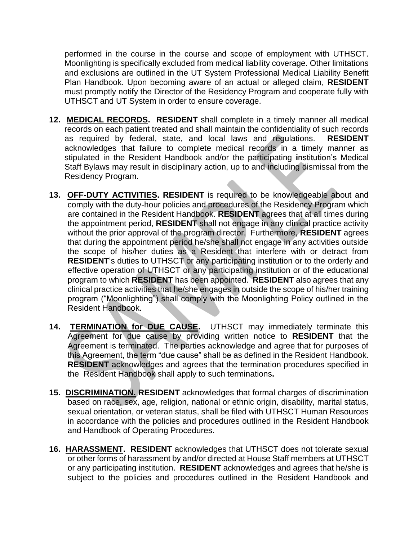performed in the course in the course and scope of employment with UTHSCT. Moonlighting is specifically excluded from medical liability coverage. Other limitations and exclusions are outlined in the UT System Professional Medical Liability Benefit Plan Handbook. Upon becoming aware of an actual or alleged claim, **RESIDENT** must promptly notify the Director of the Residency Program and cooperate fully with UTHSCT and UT System in order to ensure coverage.

- **12. MEDICAL RECORDS. RESIDENT** shall complete in a timely manner all medical records on each patient treated and shall maintain the confidentiality of such records as required by federal, state, and local laws and regulations. **RESIDENT**  acknowledges that failure to complete medical records in a timely manner as stipulated in the Resident Handbook and/or the participating **i**nstitution's Medical Staff Bylaws may result in disciplinary action, up to and including dismissal from the Residency Program.
- **13. OFF-DUTY ACTIVITIES. RESIDENT** is required to be knowledgeable about and comply with the duty-hour policies and procedures of the Residency Program which are contained in the Resident Handbook. **RESIDENT** agrees that at all times during the appointment period, **RESIDENT** shall not engage in any clinical practice activity without the prior approval of the program director. Furthermore, **RESIDENT** agrees that during the appointment period he/she shall not engage in any activities outside the scope of his/her duties as a Resident that interfere with or detract from **RESIDENT**'s duties to UTHSCT or any participating institution or to the orderly and effective operation of UTHSCT or any participating institution or of the educational program to which **RESIDENT** has been appointed. **RESIDENT** also agrees that any clinical practice activities that he/she engages in outside the scope of his/her training program ("Moonlighting") shall comply with the Moonlighting Policy outlined in the Resident Handbook.
- **14. TERMINATION for DUE CAUSE.** UTHSCT may immediately terminate this Agreement for due cause by providing written notice to **RESIDENT** that the Agreement is terminated. The parties acknowledge and agree that for purposes of this Agreement, the term "due cause" shall be as defined in the Resident Handbook. **RESIDENT** acknowledges and agrees that the termination procedures specified in the Resident Handbook shall apply to such terminations**.**
- **15. DISCRIMINATION. RESIDENT** acknowledges that formal charges of discrimination based on race, sex, age, religion, national or ethnic origin, disability, marital status, sexual orientation, or veteran status, shall be filed with UTHSCT Human Resources in accordance with the policies and procedures outlined in the Resident Handbook and Handbook of Operating Procedures.
- **16. HARASSMENT. RESIDENT** acknowledges that UTHSCT does not tolerate sexual or other forms of harassment by and/or directed at House Staff members at UTHSCT or any participating institution. **RESIDENT** acknowledges and agrees that he/she is subject to the policies and procedures outlined in the Resident Handbook and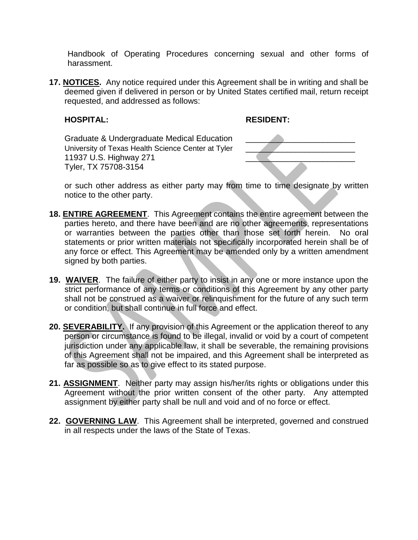Handbook of Operating Procedures concerning sexual and other forms of harassment.

**17. NOTICES.** Any notice required under this Agreement shall be in writing and shall be deemed given if delivered in person or by United States certified mail, return receipt requested, and addressed as follows:

#### **HOSPITAL: RESIDENT:**

Graduate & Undergraduate Medical Education University of Texas Health Science Center at Tyler University of Texas Health Science Center at Tyler<br>11937 U.S. Highway 271<br>Tulor TY 75708-3154 Tyler, TX 75708-3154



or such other address as either party may from time to time designate by written notice to the other party.

- **18. ENTIRE AGREEMENT**. This Agreement contains the entire agreement between the parties hereto, and there have been and are no other agreements, representations or warranties between the parties other than those set forth herein. No oral statements or prior written materials not specifically incorporated herein shall be of any force or effect. This Agreement may be amended only by a written amendment signed by both parties.
- **19. WAIVER**. The failure of either party to insist in any one or more instance upon the strict performance of any terms or conditions of this Agreement by any other party shall not be construed as a waiver or relinquishment for the future of any such term or condition, but shall continue in full force and effect.
- **20. SEVERABILITY.** If any provision of this Agreement or the application thereof to any person or circumstance is found to be illegal, invalid or void by a court of competent jurisdiction under any applicable law, it shall be severable, the remaining provisions of this Agreement shall not be impaired, and this Agreement shall be interpreted as far as possible so as to give effect to its stated purpose.
- **21. ASSIGNMENT**. Neither party may assign his/her/its rights or obligations under this Agreement without the prior written consent of the other party. Any attempted assignment by either party shall be null and void and of no force or effect.
- **22. GOVERNING LAW**. This Agreement shall be interpreted, governed and construed in all respects under the laws of the State of Texas.